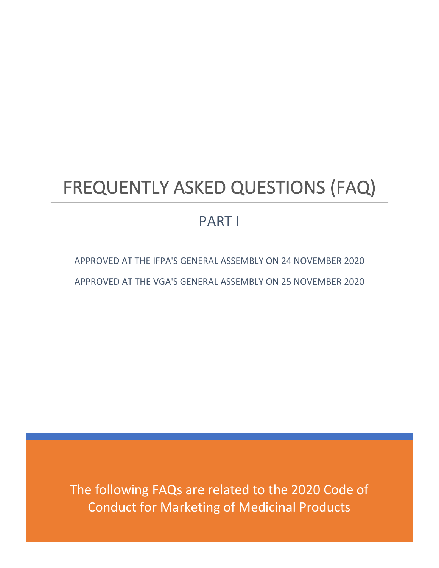# FREQUENTLY ASKED QUESTIONS (FAQ)

# PART I

APPROVED AT THE IFPA'S GENERAL ASSEMBLY ON 24 NOVEMBER 2020 APPROVED AT THE VGA'S GENERAL ASSEMBLY ON 25 NOVEMBER 2020

The following FAQs are related to the 2020 Code of Conduct for Marketing of Medicinal Products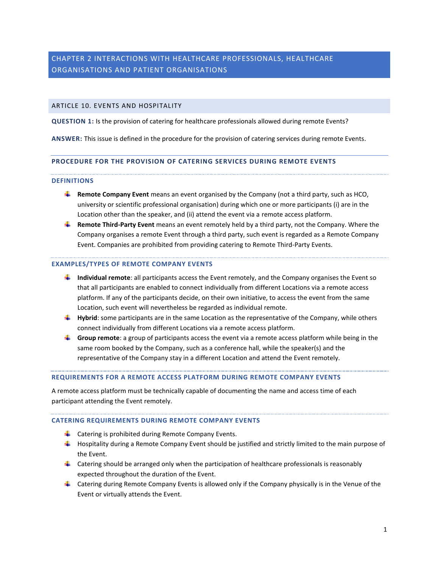# CHAPTER 2 INTERACTIONS WITH HEALTHCARE PROFESSIONALS, HEALTHCARE ORGANISATIONS AND PATIENT ORGANISATIONS

# ARTICLE 10. EVENTS AND HOSPITALITY

**QUESTION 1:** Is the provision of catering for healthcare professionals allowed during remote Events?

**ANSWER:** This issue is defined in the procedure for the provision of catering services during remote Events.

### **PROCEDURE FOR THE PROVISION OF CATERING SERVICES DURING REMOTE EVENTS**

### **DEFINITIONS**

- **Remote Company Event** means an event organised by the Company (not a third party, such as HCO, university or scientific professional organisation) during which one or more participants (i) are in the Location other than the speaker, and (ii) attend the event via a remote access platform.
- **Remote Third-Party Event** means an event remotely held by a third party, not the Company. Where the Company organises a remote Event through a third party, such event is regarded as a Remote Company Event. Companies are prohibited from providing catering to Remote Third-Party Events.

## **EXAMPLES/TYPES OF REMOTE COMPANY EVENTS**

- **Individual remote**: all participants access the Event remotely, and the Company organises the Event so that all participants are enabled to connect individually from different Locations via a remote access platform. If any of the participants decide, on their own initiative, to access the event from the same Location, such event will nevertheless be regarded as individual remote.
- **Hybrid**: some participants are in the same Location as the representative of the Company, while others connect individually from different Locations via a remote access platform.
- **Group remote**: a group of participants access the event via a remote access platform while being in the same room booked by the Company, such as a conference hall, while the speaker(s) and the representative of the Company stay in a different Location and attend the Event remotely.

# **REQUIREMENTS FOR A REMOTE ACCESS PLATFORM DURING REMOTE COMPANY EVENTS**

A remote access platform must be technically capable of documenting the name and access time of each participant attending the Event remotely.

### **CATERING REQUIREMENTS DURING REMOTE COMPANY EVENTS**

- $\downarrow$  Catering is prohibited during Remote Company Events.
- $\ddot{\phantom{1}}$  Hospitality during a Remote Company Event should be justified and strictly limited to the main purpose of the Event.
- $\downarrow$  Catering should be arranged only when the participation of healthcare professionals is reasonably expected throughout the duration of the Event.
- $\downarrow$  Catering during Remote Company Events is allowed only if the Company physically is in the Venue of the Event or virtually attends the Event.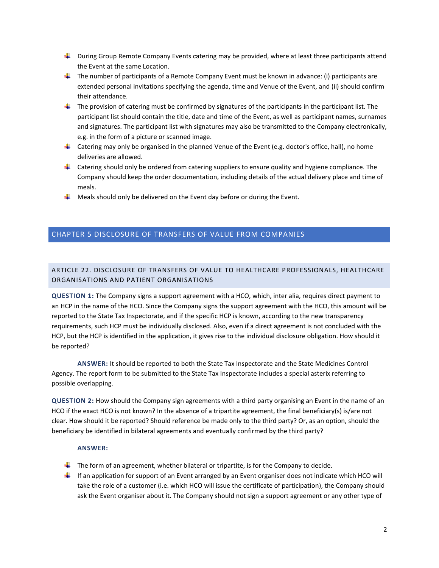- **L** During Group Remote Company Events catering may be provided, where at least three participants attend the Event at the same Location.
- $\downarrow$  The number of participants of a Remote Company Event must be known in advance: (i) participants are extended personal invitations specifying the agenda, time and Venue of the Event, and (ii) should confirm their attendance.
- $\ddot{\phantom{1}}$  The provision of catering must be confirmed by signatures of the participants in the participant list. The participant list should contain the title, date and time of the Event, as well as participant names, surnames and signatures. The participant list with signatures may also be transmitted to the Company electronically, e.g. in the form of a picture or scanned image.
- **L** Catering may only be organised in the planned Venue of the Event (e.g. doctor's office, hall), no home deliveries are allowed.
- $\downarrow$  Catering should only be ordered from catering suppliers to ensure quality and hygiene compliance. The Company should keep the order documentation, including details of the actual delivery place and time of meals.
- $\ddotplus$  Meals should only be delivered on the Event day before or during the Event.

# CHAPTER 5 DISCLOSURE OF TRANSFERS OF VALUE FROM COMPANIES

# ARTICLE 22. DISCLOSURE OF TRANSFERS OF VALUE TO HEALTHCARE PROFESSIONALS, HEALTHCARE ORGANISATIONS AND PATIENT ORGANISATIONS

**QUESTION 1:** The Company signs a support agreement with a HCO, which, inter alia, requires direct payment to an HCP in the name of the HCO. Since the Company signs the support agreement with the HCO, this amount will be reported to the State Tax Inspectorate, and if the specific HCP is known, according to the new transparency requirements, such HCP must be individually disclosed. Also, even if a direct agreement is not concluded with the HCP, but the HCP is identified in the application, it gives rise to the individual disclosure obligation. How should it be reported?

**ANSWER:** It should be reported to both the State Tax Inspectorate and the State Medicines Control Agency. The report form to be submitted to the State Tax Inspectorate includes a special asterix referring to possible overlapping.

**QUESTION 2:** How should the Company sign agreements with a third party organising an Event in the name of an HCO if the exact HCO is not known? In the absence of a tripartite agreement, the final beneficiary(s) is/are not clear. How should it be reported? Should reference be made only to the third party? Or, as an option, should the beneficiary be identified in bilateral agreements and eventually confirmed by the third party?

# **ANSWER:**

- $\ddot{\phantom{1}}$  The form of an agreement, whether bilateral or tripartite, is for the Company to decide.
- If an application for support of an Event arranged by an Event organiser does not indicate which HCO will take the role of a customer (i.e. which HCO will issue the certificate of participation), the Company should ask the Event organiser about it. The Company should not sign a support agreement or any other type of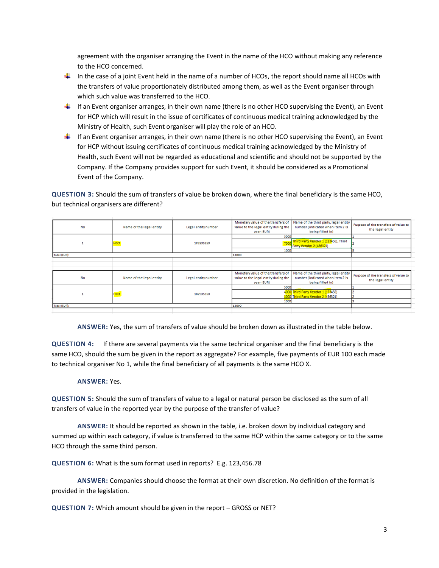agreement with the organiser arranging the Event in the name of the HCO without making any reference to the HCO concerned.

- In the case of a joint Event held in the name of a number of HCOs, the report should name all HCOs with the transfers of value proportionately distributed among them, as well as the Event organiser through which such value was transferred to the HCO.
- If an Event organiser arranges, in their own name (there is no other HCO supervising the Event), an Event for HCP which will result in the issue of certificates of continuous medical training acknowledged by the Ministry of Health, such Event organiser will play the role of an HCO.
- If an Event organiser arranges, in their own name (there is no other HCO supervising the Event), an Event for HCP without issuing certificates of continuous medical training acknowledged by the Ministry of Health, such Event will not be regarded as educational and scientific and should not be supported by the Company. If the Company provides support for such Event, it should be considered as a Promotional Event of the Company.

**QUESTION 3:** Should the sum of transfers of value be broken down, where the final beneficiary is the same HCO, but technical organisers are different?

|              |                          |                     | Monetary value of the transfers of   | Name of the third party, legal entity | Purpose of the transfers of value to |
|--------------|--------------------------|---------------------|--------------------------------------|---------------------------------------|--------------------------------------|
| No           | Name of the legal entity | Legal entity number | value to the legal entity during the | number (indicated when item 2 is      | the legal entity                     |
|              |                          |                     | year (EUR)                           | being filled in)                      |                                      |
|              |                          |                     | 5000                                 |                                       |                                      |
|              | HCO                      | 182935350           | 700                                  | Third Party Vendor 1 (123456), Third  |                                      |
|              |                          |                     |                                      | Party Vendor 2 (456321)               |                                      |
|              |                          |                     | 1000                                 |                                       |                                      |
| Total (EUR): |                          |                     | 13000                                |                                       |                                      |
|              |                          |                     |                                      |                                       |                                      |
|              |                          |                     |                                      |                                       |                                      |
|              |                          |                     |                                      |                                       |                                      |
|              |                          |                     | Monetary value of the transfers of   | Name of the third party, legal entity |                                      |
| No           | Name of the legal entity | Legal entity number | value to the legal entity during the | number (indicated when item 2 is      | Purpose of the transfers of value to |
|              |                          |                     | year (EUR)                           | being filled in)                      | the legal entity                     |
|              |                          |                     | 5000                                 |                                       |                                      |
|              | HCO                      | 182935350           |                                      | 4000 Third Party Vendor 1 (123456)    |                                      |
|              |                          |                     |                                      | 3000 Third Party Vendor 2 (456321)    |                                      |
|              |                          |                     | 1000                                 |                                       |                                      |
| Total (EUR): |                          |                     | 13000                                |                                       |                                      |
|              |                          |                     |                                      |                                       |                                      |

**ANSWER:** Yes, the sum of transfers of value should be broken down as illustrated in the table below.

**QUESTION 4:** If there are several payments via the same technical organiser and the final beneficiary is the same HCO, should the sum be given in the report as aggregate? For example, five payments of EUR 100 each made to technical organiser No 1, while the final beneficiary of all payments is the same HCO X.

### **ANSWER:** Yes.

**QUESTION 5:** Should the sum of transfers of value to a legal or natural person be disclosed as the sum of all transfers of value in the reported year by the purpose of the transfer of value?

**ANSWER:** It should be reported as shown in the table, i.e. broken down by individual category and summed up within each category, if value is transferred to the same HCP within the same category or to the same HCO through the same third person.

**QUESTION 6:** What is the sum format used in reports? E.g. 123,456.78

**ANSWER:** Companies should choose the format at their own discretion. No definition of the format is provided in the legislation.

**QUESTION 7:** Which amount should be given in the report – GROSS or NET?